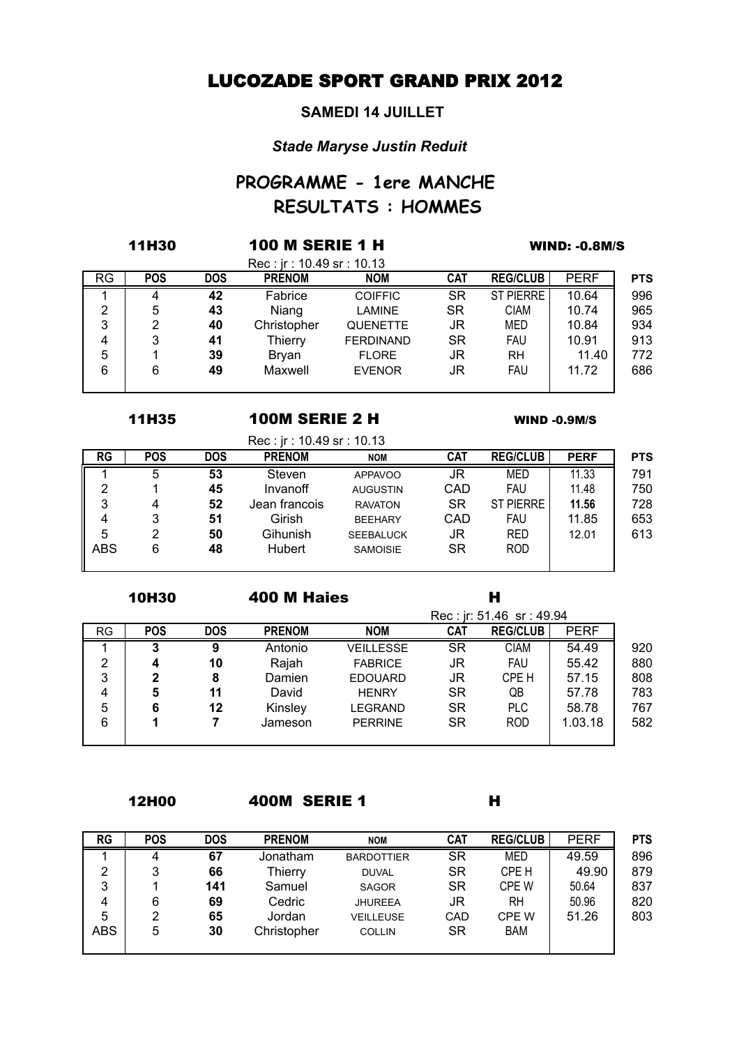## LUCOZADE SPORT GRAND PRIX 2012

#### **SAMEDI 14 JUILLET**

### *Stade Maryse Justin Reduit*

# **RESULTATS : HOMMES PROGRAMME - 1ere MANCHE**

|           | <b>11H30</b> |            | <b>100 M SERIE 1 H</b>                    | <b>WIND: -0.8M/S</b> |            |                  |             |            |
|-----------|--------------|------------|-------------------------------------------|----------------------|------------|------------------|-------------|------------|
| <b>RG</b> | <b>POS</b>   | <b>DOS</b> | Rec: ir: 10.49 sr: 10.13<br><b>PRENOM</b> | <b>NOM</b>           | <b>CAT</b> | <b>REG/CLUB</b>  | <b>PERF</b> | <b>PTS</b> |
|           | 4            | 42         | Fabrice                                   | <b>COIFFIC</b>       | <b>SR</b>  | <b>ST PIERRE</b> | 10.64       | 996        |
| 2         | 5            | 43         | Niang                                     | <b>LAMINE</b>        | SR         | <b>CIAM</b>      | 10.74       | 965        |
| 3         | 2            | 40         | Christopher                               | <b>QUENETTE</b>      | JR         | MED              | 10.84       | 934        |
| 4         | 3            | 41         | Thierry                                   | <b>FERDINAND</b>     | SR         | <b>FAU</b>       | 10.91       | 913        |
| 5         |              | 39         | <b>Bryan</b>                              | <b>FLORE</b>         | JR         | RH               | 11.40       | 772        |
| 6         | 6            | 49         | Maxwell                                   | <b>EVENOR</b>        | JR         | <b>FAU</b>       | 11.72       | 686        |

#### 11H35 WIND -0.9M/S 100M SERIE 2 H

Rec : jr : 10.49 sr : 10.13

|            |            |            | <u> טונטו. וכפידנטו וונ</u> |                  |            |                  |             |            |
|------------|------------|------------|-----------------------------|------------------|------------|------------------|-------------|------------|
| <b>RG</b>  | <b>POS</b> | <b>DOS</b> | <b>PRENOM</b>               | <b>NOM</b>       | <b>CAT</b> | <b>REG/CLUB</b>  | <b>PERF</b> | <b>PTS</b> |
|            | 5          | 53         | Steven                      | <b>APPAVOO</b>   | JR         | MED              | 11.33       | 791        |
| 2          |            | 45         | Invanoff                    | <b>AUGUSTIN</b>  | CAD        | <b>FAU</b>       | 11.48       | 750        |
| 3          |            | 52         | Jean francois               | <b>RAVATON</b>   | <b>SR</b>  | <b>ST PIERRE</b> | 11.56       | 728        |
| 4          |            | 51         | Girish                      | <b>BEEHARY</b>   | CAD        | <b>FAU</b>       | 11.85       | 653        |
| 5          |            | 50         | Gihunish                    | <b>SEEBALUCK</b> | JR         | <b>RED</b>       | 12.01       | 613        |
| <b>ABS</b> | 6          | 48         | <b>Hubert</b>               | <b>SAMOISIE</b>  | <b>SR</b>  | <b>ROD</b>       |             |            |
|            |            |            |                             |                  |            |                  |             |            |

10H30 H 400 M Haies

|           |            |            |               |                  |            | Rec: jr: 51.46 sr: 49.94 |             |     |
|-----------|------------|------------|---------------|------------------|------------|--------------------------|-------------|-----|
| <b>RG</b> | <b>POS</b> | <b>DOS</b> | <b>PRENOM</b> | <b>NOM</b>       | <b>CAT</b> | <b>REG/CLUB</b>          | <b>PERF</b> |     |
|           | 3          | 9          | Antonio       | <b>VEILLESSE</b> | <b>SR</b>  | <b>CIAM</b>              | 54.49       | 920 |
| 2         |            | 10         | Rajah         | <b>FABRICE</b>   | JR         | <b>FAU</b>               | 55.42       | 880 |
| 3         | 2          | 8          | Damien        | <b>EDOUARD</b>   | JR         | CPE H                    | 57.15       | 808 |
| 4         | 5          | 11         | David         | <b>HENRY</b>     | <b>SR</b>  | QB                       | 57.78       | 783 |
| 5         | 6          | 12         | Kinsley       | LEGRAND          | SR         | <b>PLC</b>               | 58.78       | 767 |
| 6         |            |            | Jameson       | <b>PERRINE</b>   | <b>SR</b>  | <b>ROD</b>               | 1.03.18     | 582 |
|           |            |            |               |                  |            |                          |             |     |

12H00 H 400M SERIE 1

| <b>RG</b> | <b>POS</b> | <b>DOS</b> | <b>PRENOM</b> | <b>NOM</b>        | <b>CAT</b> | <b>REG/CLUB</b> | <b>PERF</b> | <b>PTS</b> |
|-----------|------------|------------|---------------|-------------------|------------|-----------------|-------------|------------|
|           | 4          | 67         | Jonatham      | <b>BARDOTTIER</b> | <b>SR</b>  | MED             | 49.59       | 896        |
| 2         | 3          | 66         | Thierry       | <b>DUVAL</b>      | <b>SR</b>  | CPE H           | 49.90       | 879        |
| 3         |            | 141        | Samuel        | <b>SAGOR</b>      | <b>SR</b>  | <b>CPE W</b>    | 50.64       | 837        |
| 4         | 6          | 69         | Cedric        | <b>JHUREEA</b>    | JR         | RH              | 50.96       | 820        |
| 5         | っ          | 65         | Jordan        | <b>VEILLEUSE</b>  | CAD        | CPE W           | 51.26       | 803        |
| ABS       | 5          | 30         | Christopher   | <b>COLLIN</b>     | <b>SR</b>  | <b>BAM</b>      |             |            |
|           |            |            |               |                   |            |                 |             |            |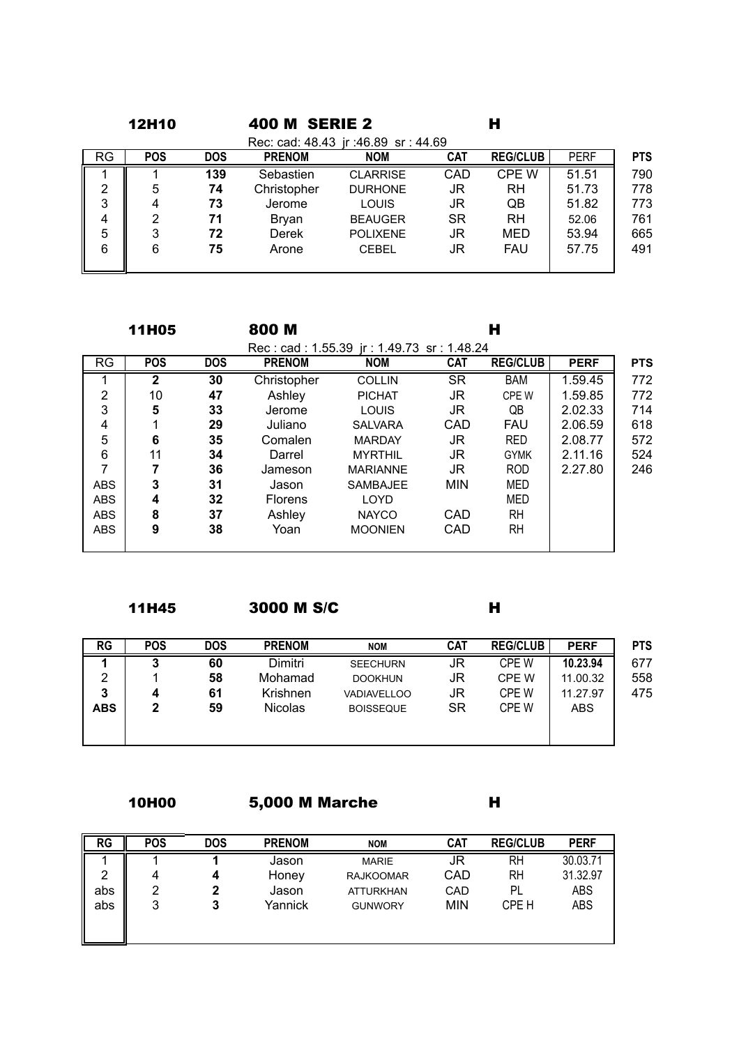|                | <b>12H10</b> |            | <b>400 M SERIE 2</b> |                                     |            | н               |             |            |
|----------------|--------------|------------|----------------------|-------------------------------------|------------|-----------------|-------------|------------|
|                |              |            |                      | Rec: cad: 48.43 jr: 46.89 sr: 44.69 |            |                 |             |            |
| <b>RG</b>      | <b>POS</b>   | <b>DOS</b> | <b>PRENOM</b>        | <b>NOM</b>                          | <b>CAT</b> | <b>REG/CLUB</b> | <b>PERF</b> | <b>PTS</b> |
|                |              | 139        | Sebastien            | <b>CLARRISE</b>                     | CAD        | <b>CPE W</b>    | 51.51       | 790        |
| $\overline{2}$ | 5            | 74         | Christopher          | <b>DURHONE</b>                      | JR         | <b>RH</b>       | 51.73       | 778        |
| 3              | 4            | 73         | Jerome               | <b>LOUIS</b>                        | JR         | QB              | 51.82       | 773        |
| 4              | 2            | 71         | <b>Bryan</b>         | <b>BEAUGER</b>                      | <b>SR</b>  | <b>RH</b>       | 52.06       | 761        |
| 5              | 3            | 72         | Derek                | <b>POLIXENE</b>                     | JR         | MED             | 53.94       | 665        |
| 6              | 6            | 75         | Arone                | <b>CEBEL</b>                        | JR         | <b>FAU</b>      | 57.75       | 491        |
|                |              |            |                      |                                     |            |                 |             |            |

|                | <b>11H05</b> |            | 800 M          |                                           |            | н               |             |            |
|----------------|--------------|------------|----------------|-------------------------------------------|------------|-----------------|-------------|------------|
|                |              |            |                | Rec: cad: 1.55.39 ir: 1.49.73 sr: 1.48.24 |            |                 |             |            |
| <b>RG</b>      | <b>POS</b>   | <b>DOS</b> | <b>PRENOM</b>  | <b>NOM</b>                                | <b>CAT</b> | <b>REG/CLUB</b> | <b>PERF</b> | <b>PTS</b> |
|                | $\mathbf{2}$ | 30         | Christopher    | <b>COLLIN</b>                             | <b>SR</b>  | <b>BAM</b>      | 1.59.45     | 772        |
| $\overline{2}$ | 10           | 47         | Ashley         | <b>PICHAT</b>                             | JR         | CPE W           | 1.59.85     | 772        |
| 3              | 5            | 33         | Jerome         | LOUIS                                     | JR         | QB              | 2.02.33     | 714        |
| 4              |              | 29         | Juliano        | <b>SALVARA</b>                            | CAD        | <b>FAU</b>      | 2.06.59     | 618        |
| 5              | 6            | 35         | Comalen        | <b>MARDAY</b>                             | JR         | <b>RED</b>      | 2.08.77     | 572        |
| 6              | 11           | 34         | Darrel         | <b>MYRTHIL</b>                            | JR         | <b>GYMK</b>     | 2.11.16     | 524        |
| $\overline{7}$ |              | 36         | Jameson        | <b>MARIANNE</b>                           | JR         | <b>ROD</b>      | 2.27.80     | 246        |
| <b>ABS</b>     | 3            | 31         | Jason          | <b>SAMBAJEE</b>                           | <b>MIN</b> | MED             |             |            |
| <b>ABS</b>     | 4            | 32         | <b>Florens</b> | <b>LOYD</b>                               |            | MED             |             |            |
| <b>ABS</b>     | 8            | 37         | Ashley         | <b>NAYCO</b>                              | <b>CAD</b> | <b>RH</b>       |             |            |
| <b>ABS</b>     | 9            | 38         | Yoan           | <b>MOONIEN</b>                            | <b>CAD</b> | <b>RH</b>       |             |            |
|                |              |            |                |                                           |            |                 |             |            |

11H45 H 3000 M S/C

| <b>RG</b>  | <b>POS</b> | <b>DOS</b> | <b>PRENOM</b>  | <b>NOM</b>         | <b>CAT</b> | <b>REG/CLUB</b> | <b>PERF</b> | <b>PTS</b> |
|------------|------------|------------|----------------|--------------------|------------|-----------------|-------------|------------|
|            | າ<br>J     | 60         | Dimitri        | <b>SEECHURN</b>    | JR         | CPE W           | 10.23.94    | 677        |
| 2          |            | 58         | Mohamad        | <b>DOOKHUN</b>     | JR         | CPE W           | 11.00.32    | 558        |
| 3          | 4          | 61         | Krishnen       | <b>VADIAVELLOO</b> | JR         | CPE W           | 11.27.97    | 475        |
| <b>ABS</b> | 2          | 59         | <b>Nicolas</b> | <b>BOISSEQUE</b>   | SR         | CPE W           | <b>ABS</b>  |            |
|            |            |            |                |                    |            |                 |             |            |
|            |            |            |                |                    |            |                 |             |            |

10H00 H 5,000 M Marche

**RG POS DOS PRENOM NOM CAT REG/CLUB PERF** 1 1 **1** Jason MARIE JR RH 30.03.71 2 4 4 Honey RAJKOOMAR CAD RH 31.32.97<br>abs 2 2 Jason ATTURKHAN CAD PL ABS abs 2 2 Jason ATTURKHAN CAD PL ABS<br>abs 3 3 Yannick GUNWORY MIN CPEH ABS  $GUNWORY$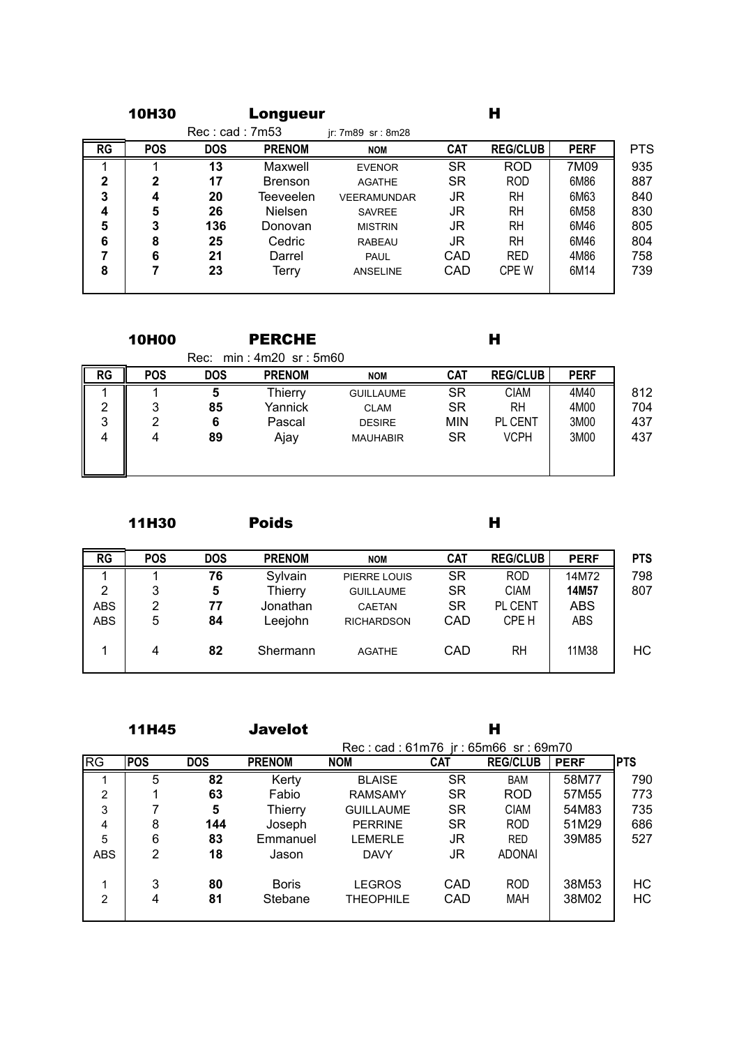|              | <b>10H30</b> |                | Longueur       |                    |            | н               |             |            |
|--------------|--------------|----------------|----------------|--------------------|------------|-----------------|-------------|------------|
|              |              | Rec: cad: 7m53 |                | jr: 7m89 sr: 8m28  |            |                 |             |            |
| RG           | <b>POS</b>   | <b>DOS</b>     | <b>PRENOM</b>  | <b>NOM</b>         | <b>CAT</b> | <b>REG/CLUB</b> | <b>PERF</b> | <b>PTS</b> |
|              |              | 13             | Maxwell        | <b>EVENOR</b>      | <b>SR</b>  | <b>ROD</b>      | 7M09        | 935        |
| $\mathbf{2}$ | 2            | 17             | <b>Brenson</b> | <b>AGATHE</b>      | <b>SR</b>  | <b>ROD</b>      | 6M86        | 887        |
| 3            | 4            | 20             | Teeveelen      | <b>VEERAMUNDAR</b> | JR         | RH              | 6M63        | 840        |
| 4            | 5            | 26             | Nielsen        | <b>SAVREE</b>      | JR         | RH              | 6M58        | 830        |
| 5            | 3            | 136            | Donovan        | <b>MISTRIN</b>     | JR         | RH              | 6M46        | 805        |
| 6            | 8            | 25             | Cedric         | <b>RABEAU</b>      | JR         | RH              | 6M46        | 804        |
|              | 6            | 21             | Darrel         | <b>PAUL</b>        | CAD        | <b>RED</b>      | 4M86        | 758        |
| 8            |              | 23             | Terry          | <b>ANSELINE</b>    | CAD        | CPE W           | 6M14        | 739        |
|              |              |                |                |                    |            |                 |             |            |

| <b>10H00</b> | <b>PERCHE</b> |  |
|--------------|---------------|--|
|--------------|---------------|--|

|           |            | Rec:       | $min: 4m20$ sr: $5m60$ |                  |            |                 |             |     |
|-----------|------------|------------|------------------------|------------------|------------|-----------------|-------------|-----|
| <b>RG</b> | <b>POS</b> | <b>DOS</b> | <b>PRENOM</b>          | <b>NOM</b>       | <b>CAT</b> | <b>REG/CLUB</b> | <b>PERF</b> |     |
|           |            | 5          | Thierry                | <b>GUILLAUME</b> | <b>SR</b>  | <b>CIAM</b>     | 4M40        | 812 |
| っ         | 2          | 85         | Yannick                | <b>CLAM</b>      | <b>SR</b>  | <b>RH</b>       | 4M00        | 704 |
| 3         | 2          | 6          | Pascal                 | <b>DESIRE</b>    | <b>MIN</b> | <b>PL CENT</b>  | 3M00        | 437 |
| 4         | 4          | 89         | Ajay                   | <b>MAUHABIR</b>  | <b>SR</b>  | <b>VCPH</b>     | 3M00        | 437 |
|           |            |            |                        |                  |            |                 |             |     |
|           |            |            |                        |                  |            |                 |             |     |

11H30 H Poids

| <b>POS</b> | <b>DOS</b> | <b>PRENOM</b> | <b>NOM</b>        | <b>CAT</b>    | <b>REG/CLUB</b> | <b>PERF</b> | <b>PTS</b> |
|------------|------------|---------------|-------------------|---------------|-----------------|-------------|------------|
|            | 76         | Sylvain       | PIERRE LOUIS      | <b>SR</b>     | <b>ROD</b>      | 14M72       | 798        |
| 3          | 5          | Thierry       | <b>GUILLAUME</b>  | <b>SR</b>     | <b>CIAM</b>     | 14M57       | 807        |
| 2          | 77         | Jonathan      | <b>CAETAN</b>     | <b>SR</b>     | PL CENT         | <b>ABS</b>  |            |
| 5          | 84         | Leejohn       | <b>RICHARDSON</b> | CAD           | CPE H           | <b>ABS</b>  |            |
|            |            |               |                   |               |                 |             | НC         |
|            |            |               |                   |               |                 |             |            |
|            | 4          | 82            | Shermann          | <b>AGATHE</b> | CAD             | RH          | 11M38      |

11H45 H Javelot

|                        |            |            |                         | Rec: cad: 61m76 jr: 65m66 sr: 69m70 |            |                   |                |            |
|------------------------|------------|------------|-------------------------|-------------------------------------|------------|-------------------|----------------|------------|
| $\overline{\text{RG}}$ | <b>POS</b> | <b>DOS</b> | <b>PRENOM</b>           | <b>NOM</b>                          | <b>CAT</b> | <b>REG/CLUB</b>   | <b>PERF</b>    | <b>PTS</b> |
|                        | 5          | 82         | Kerty                   | <b>BLAISE</b>                       | <b>SR</b>  | <b>BAM</b>        | 58M77          | 790        |
| 2                      |            | 63         | Fabio                   | <b>RAMSAMY</b>                      | <b>SR</b>  | <b>ROD</b>        | 57M55          | 773        |
| 3                      |            | 5          | Thierry                 | <b>GUILLAUME</b>                    | <b>SR</b>  | <b>CIAM</b>       | 54M83          | 735        |
| 4                      | 8          | 144        | Joseph                  | <b>PERRINE</b>                      | <b>SR</b>  | <b>ROD</b>        | 51M29          | 686        |
| 5                      | 6          | 83         | Emmanuel                | <b>LEMERLE</b>                      | JR         | <b>RED</b>        | 39M85          | 527        |
| <b>ABS</b>             | 2          | 18         | Jason                   | <b>DAVY</b>                         | JR         | <b>ADONAI</b>     |                |            |
| 1<br>$\overline{2}$    | 3<br>4     | 80<br>81   | <b>Boris</b><br>Stebane | <b>LEGROS</b><br><b>THEOPHILE</b>   | CAD<br>CAD | <b>ROD</b><br>MAH | 38M53<br>38M02 | НC<br>HC   |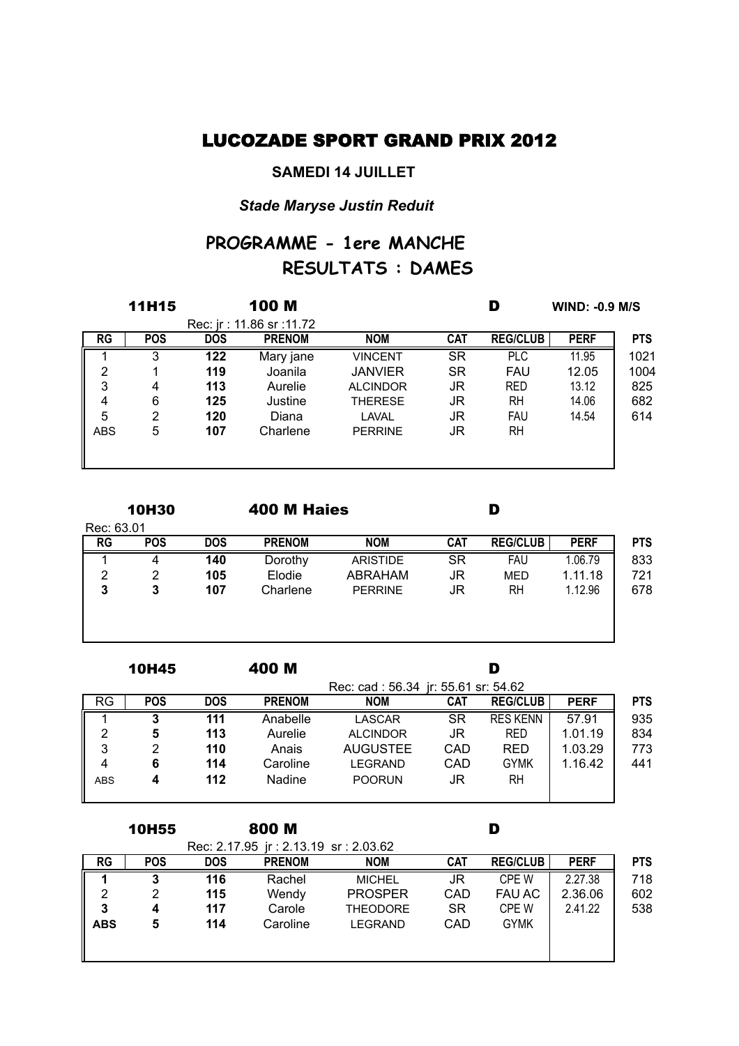# LUCOZADE SPORT GRAND PRIX 2012

### **SAMEDI 14 JUILLET**

## *Stade Maryse Justin Reduit*

# **RESULTATS : DAMES PROGRAMME - 1ere MANCHE**

|            | <b>100 M</b><br><b>11H15</b> |            |                          |                 |            | D<br><b>WIND: -0.9 M/S</b> |             |            |  |  |
|------------|------------------------------|------------|--------------------------|-----------------|------------|----------------------------|-------------|------------|--|--|
|            |                              |            | Rec: jr: 11.86 sr: 11.72 |                 |            |                            |             |            |  |  |
| RG         | <b>POS</b>                   | <b>DOS</b> | <b>PRENOM</b>            | <b>NOM</b>      | <b>CAT</b> | <b>REG/CLUB</b>            | <b>PERF</b> | <b>PTS</b> |  |  |
|            | 3                            | 122        | Mary jane                | <b>VINCENT</b>  | SR         | <b>PLC</b>                 | 11.95       | 1021       |  |  |
| 2          |                              | 119        | Joanila                  | <b>JANVIER</b>  | SR         | <b>FAU</b>                 | 12.05       | 1004       |  |  |
| 3          | 4                            | 113        | Aurelie                  | <b>ALCINDOR</b> | JR         | <b>RED</b>                 | 13.12       | 825        |  |  |
| 4          | 6                            | 125        | Justine                  | <b>THERESE</b>  | JR         | <b>RH</b>                  | 14.06       | 682        |  |  |
| 5          | 2                            | 120        | Diana                    | <b>LAVAL</b>    | JR         | <b>FAU</b>                 | 14.54       | 614        |  |  |
| <b>ABS</b> | 5                            | 107        | Charlene                 | <b>PERRINE</b>  | JR         | RH                         |             |            |  |  |
|            |                              |            |                          |                 |            |                            |             |            |  |  |
|            |                              |            |                          |                 |            |                            |             |            |  |  |

|            | <b>10H30</b> |            | 400 M Haies   |                 |            | D               |             |            |
|------------|--------------|------------|---------------|-----------------|------------|-----------------|-------------|------------|
| Rec: 63.01 |              |            |               |                 |            |                 |             |            |
| <b>RG</b>  | <b>POS</b>   | <b>DOS</b> | <b>PRENOM</b> | <b>NOM</b>      | <b>CAT</b> | <b>REG/CLUB</b> | <b>PERF</b> | <b>PTS</b> |
|            | 4            | 140        | Dorothy       | <b>ARISTIDE</b> | <b>SR</b>  | <b>FAU</b>      | 1.06.79     | 833        |
| 2          | 2            | 105        | Elodie        | ABRAHAM         | JR         | <b>MED</b>      | 1.11.18     | 721        |
| 3          | 3            | 107        | Charlene      | <b>PERRINE</b>  | JR         | <b>RH</b>       | 1.12.96     | 678        |
|            |              |            |               |                 |            |                 |             |            |
|            |              |            |               |                 |            |                 |             |            |
|            |              |            |               |                 |            |                 |             |            |

|            | 10H45      |            | 400 M         |                                     |            |                 |             |            |
|------------|------------|------------|---------------|-------------------------------------|------------|-----------------|-------------|------------|
|            |            |            |               | Rec: cad: 56.34 jr: 55.61 sr: 54.62 |            |                 |             |            |
| <b>RG</b>  | <b>POS</b> | <b>DOS</b> | <b>PRENOM</b> | <b>NOM</b>                          | <b>CAT</b> | <b>REG/CLUB</b> | <b>PERF</b> | <b>PTS</b> |
|            | 3          | 111        | Anabelle      | LASCAR                              | <b>SR</b>  | <b>RES KENN</b> | 57.91       | 935        |
| 2          | 5          | 113        | Aurelie       | <b>ALCINDOR</b>                     | JR         | <b>RED</b>      | 1.01.19     | 834        |
| 3          | 2          | 110        | Anais         | <b>AUGUSTEE</b>                     | CAD        | <b>RED</b>      | 1.03.29     | 773        |
| 4          | 6          | 114        | Caroline      | <b>LEGRAND</b>                      | CAD        | <b>GYMK</b>     | 1.16.42     | 441        |
| <b>ABS</b> | 4          | 112        | Nadine        | <b>POORUN</b>                       | JR         | RH              |             |            |
|            |            |            |               |                                     |            |                 |             |            |

|            | <b>10H55</b> |            | 800 M                                |                 |            | D               |             |            |
|------------|--------------|------------|--------------------------------------|-----------------|------------|-----------------|-------------|------------|
|            |              |            | Rec: 2.17.95 ir: 2.13.19 sr: 2.03.62 |                 |            |                 |             |            |
| <b>RG</b>  | <b>POS</b>   | <b>DOS</b> | <b>PRENOM</b>                        | <b>NOM</b>      | <b>CAT</b> | <b>REG/CLUB</b> | <b>PERF</b> | <b>PTS</b> |
|            | 3            | 116        | Rachel                               | <b>MICHEL</b>   | JR         | <b>CPE W</b>    | 2.27.38     | 718        |
| 2          | 2            | 115        | Wendy                                | <b>PROSPER</b>  | CAD        | <b>FAU AC</b>   | 2.36.06     | 602        |
| 3          | 4            | 117        | Carole                               | <b>THEODORE</b> | <b>SR</b>  | CPE W           | 2.41.22     | 538        |
| <b>ABS</b> | 5            | 114        | Caroline                             | <b>LEGRAND</b>  | CAD        | <b>GYMK</b>     |             |            |
|            |              |            |                                      |                 |            |                 |             |            |
|            |              |            |                                      |                 |            |                 |             |            |